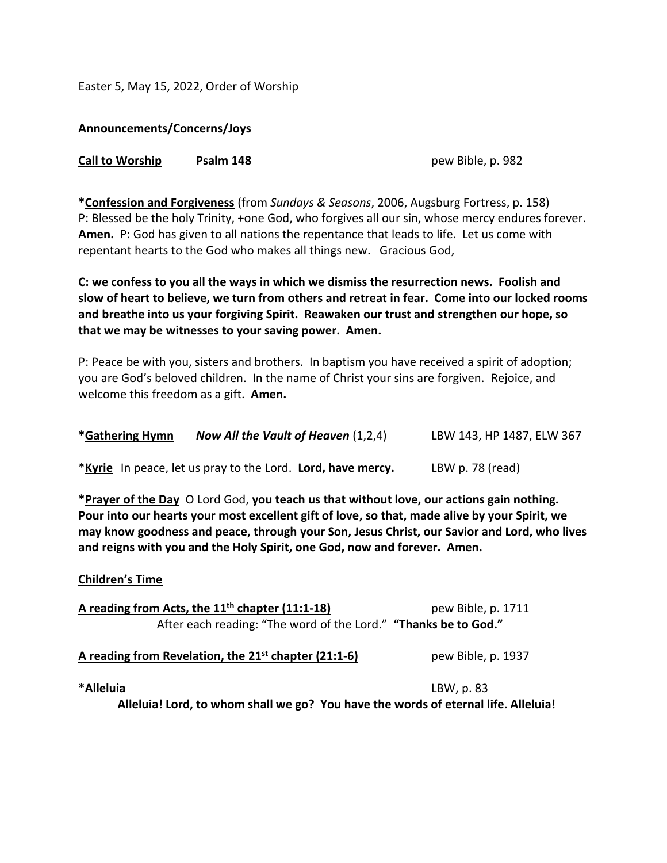Easter 5, May 15, 2022, Order of Worship

**Announcements/Concerns/Joys**

| <b>Call to Worship</b> | Psalm 148 |
|------------------------|-----------|
|------------------------|-----------|

**Call to Worship Psalm 148** pew Bible, p. 982

**\*Confession and Forgiveness** (from *Sundays & Seasons*, 2006, Augsburg Fortress, p. 158) P: Blessed be the holy Trinity, +one God, who forgives all our sin, whose mercy endures forever. **Amen.** P: God has given to all nations the repentance that leads to life. Let us come with repentant hearts to the God who makes all things new. Gracious God,

**C: we confess to you all the ways in which we dismiss the resurrection news. Foolish and slow of heart to believe, we turn from others and retreat in fear. Come into our locked rooms and breathe into us your forgiving Spirit. Reawaken our trust and strengthen our hope, so that we may be witnesses to your saving power. Amen.**

P: Peace be with you, sisters and brothers. In baptism you have received a spirit of adoption; you are God's beloved children. In the name of Christ your sins are forgiven. Rejoice, and welcome this freedom as a gift. **Amen.**

| *Gathering Hymn | Now All the Vault of Heaven $(1,2,4)$ | LBW 143, HP 1487, ELW 367 |
|-----------------|---------------------------------------|---------------------------|
|-----------------|---------------------------------------|---------------------------|

\***Kyrie** In peace, let us pray to the Lord. **Lord, have mercy.** LBW p. 78 (read)

**\*Prayer of the Day** O Lord God, **you teach us that without love, our actions gain nothing. Pour into our hearts your most excellent gift of love, so that, made alive by your Spirit, we may know goodness and peace, through your Son, Jesus Christ, our Savior and Lord, who lives and reigns with you and the Holy Spirit, one God, now and forever. Amen.**

## **Children's Time**

| A reading from Acts, the $11th$ chapter (11:1-18)               | pew Bible, p. 1711 |  |
|-----------------------------------------------------------------|--------------------|--|
| After each reading: "The word of the Lord." "Thanks be to God." |                    |  |
| A reading from Revelation, the $21^{st}$ chapter (21:1-6)       | pew Bible, p. 1937 |  |

**\*Alleluia** LBW, p. 83

**Alleluia! Lord, to whom shall we go? You have the words of eternal life. Alleluia!**